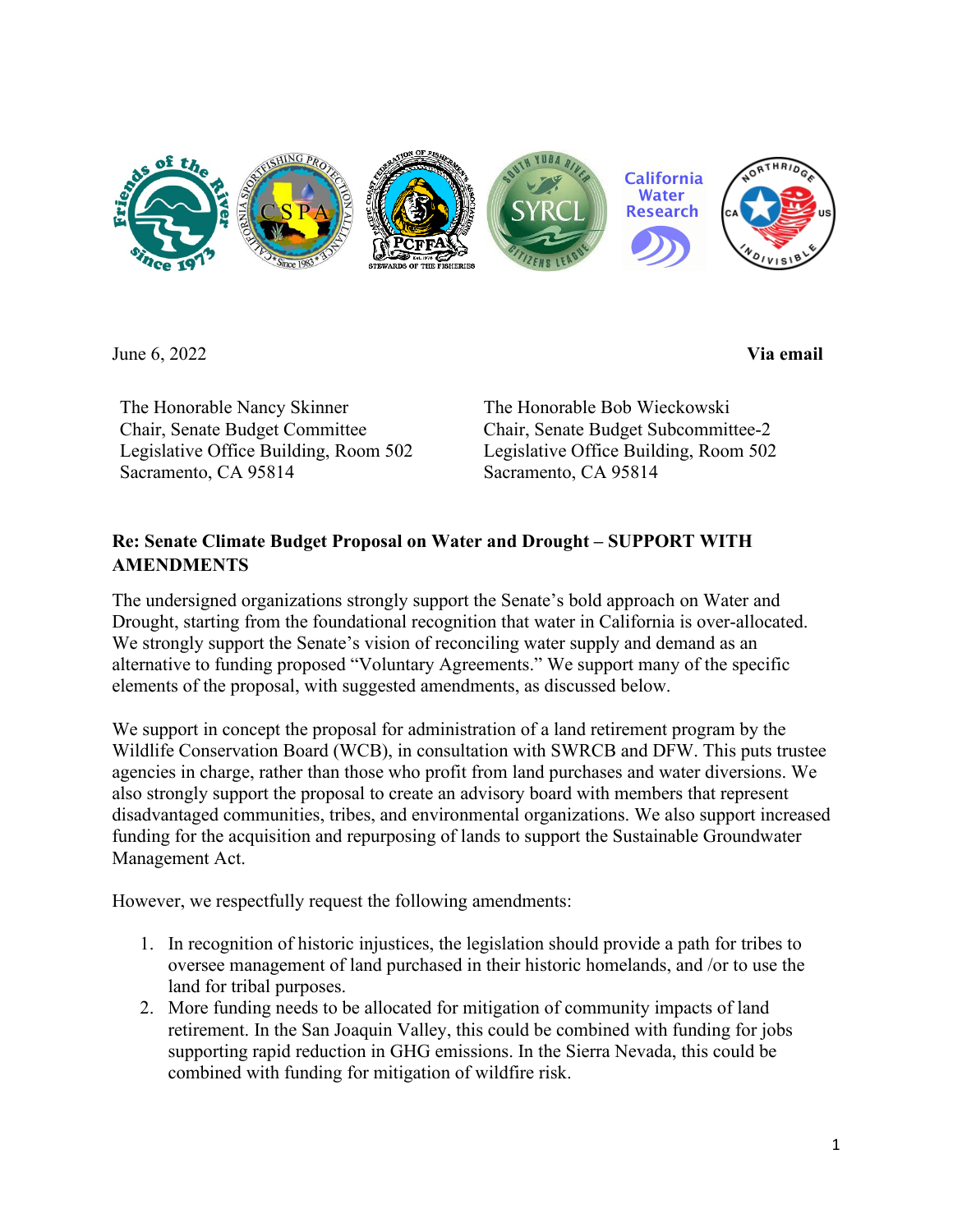

June 6, 2022 **Via email**

The Honorable Nancy Skinner Chair, Senate Budget Committee Legislative Office Building, Room 502 Sacramento, CA 95814

The Honorable Bob Wieckowski Chair, Senate Budget Subcommittee-2 Legislative Office Building, Room 502 Sacramento, CA 95814

## **Re: Senate Climate Budget Proposal on Water and Drought – SUPPORT WITH AMENDMENTS**

The undersigned organizations strongly support the Senate's bold approach on Water and Drought, starting from the foundational recognition that water in California is over-allocated. We strongly support the Senate's vision of reconciling water supply and demand as an alternative to funding proposed "Voluntary Agreements." We support many of the specific elements of the proposal, with suggested amendments, as discussed below.

We support in concept the proposal for administration of a land retirement program by the Wildlife Conservation Board (WCB), in consultation with SWRCB and DFW. This puts trustee agencies in charge, rather than those who profit from land purchases and water diversions. We also strongly support the proposal to create an advisory board with members that represent disadvantaged communities, tribes, and environmental organizations. We also support increased funding for the acquisition and repurposing of lands to support the Sustainable Groundwater Management Act.

However, we respectfully request the following amendments:

- 1. In recognition of historic injustices, the legislation should provide a path for tribes to oversee management of land purchased in their historic homelands, and /or to use the land for tribal purposes.
- 2. More funding needs to be allocated for mitigation of community impacts of land retirement. In the San Joaquin Valley, this could be combined with funding for jobs supporting rapid reduction in GHG emissions. In the Sierra Nevada, this could be combined with funding for mitigation of wildfire risk.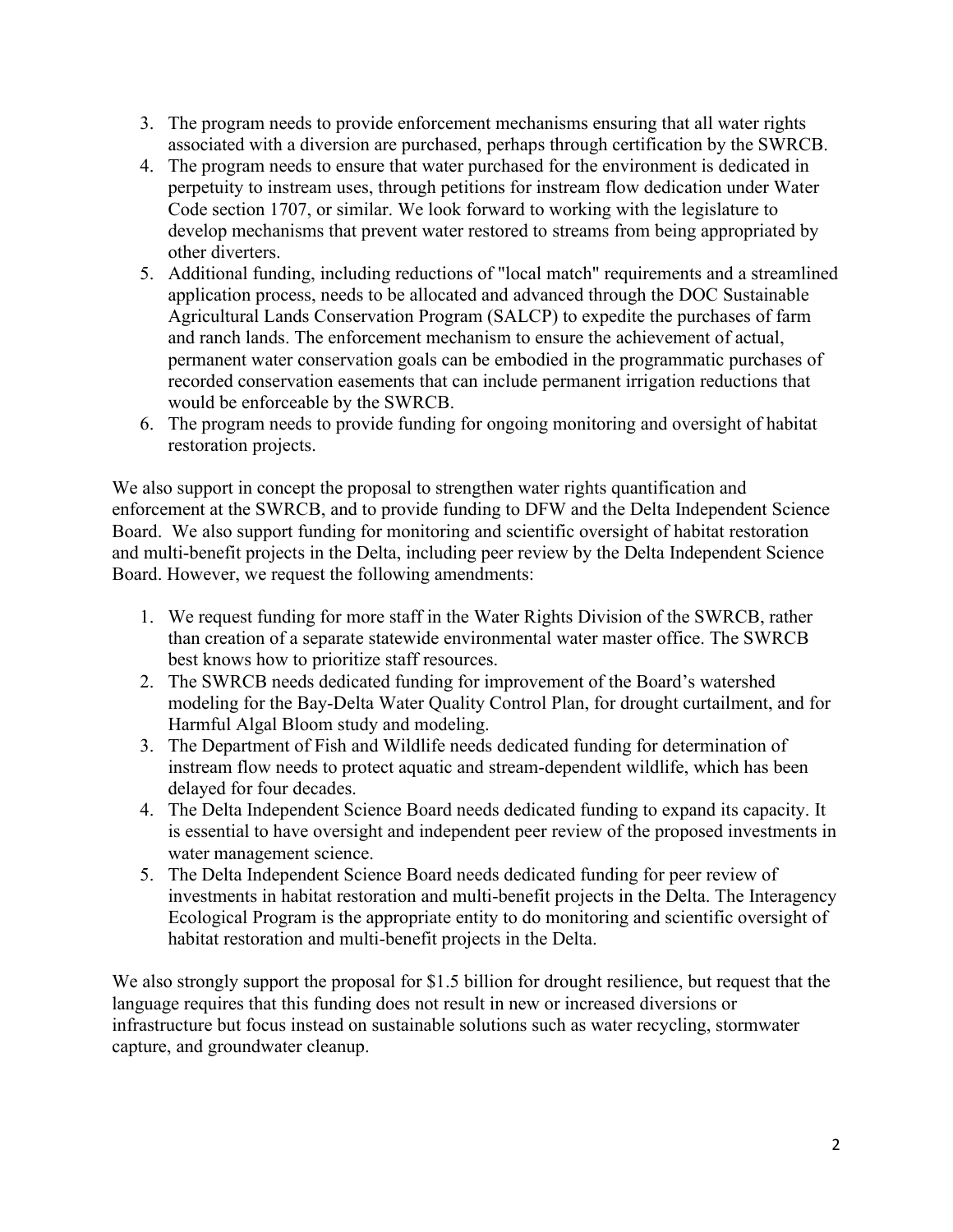- 3. The program needs to provide enforcement mechanisms ensuring that all water rights associated with a diversion are purchased, perhaps through certification by the SWRCB.
- 4. The program needs to ensure that water purchased for the environment is dedicated in perpetuity to instream uses, through petitions for instream flow dedication under Water Code section 1707, or similar. We look forward to working with the legislature to develop mechanisms that prevent water restored to streams from being appropriated by other diverters.
- 5. Additional funding, including reductions of "local match" requirements and a streamlined application process, needs to be allocated and advanced through the DOC Sustainable Agricultural Lands Conservation Program (SALCP) to expedite the purchases of farm and ranch lands. The enforcement mechanism to ensure the achievement of actual, permanent water conservation goals can be embodied in the programmatic purchases of recorded conservation easements that can include permanent irrigation reductions that would be enforceable by the SWRCB.
- 6. The program needs to provide funding for ongoing monitoring and oversight of habitat restoration projects.

We also support in concept the proposal to strengthen water rights quantification and enforcement at the SWRCB, and to provide funding to DFW and the Delta Independent Science Board. We also support funding for monitoring and scientific oversight of habitat restoration and multi-benefit projects in the Delta, including peer review by the Delta Independent Science Board. However, we request the following amendments:

- 1. We request funding for more staff in the Water Rights Division of the SWRCB, rather than creation of a separate statewide environmental water master office. The SWRCB best knows how to prioritize staff resources.
- 2. The SWRCB needs dedicated funding for improvement of the Board's watershed modeling for the Bay-Delta Water Quality Control Plan, for drought curtailment, and for Harmful Algal Bloom study and modeling.
- 3. The Department of Fish and Wildlife needs dedicated funding for determination of instream flow needs to protect aquatic and stream-dependent wildlife, which has been delayed for four decades.
- 4. The Delta Independent Science Board needs dedicated funding to expand its capacity. It is essential to have oversight and independent peer review of the proposed investments in water management science.
- 5. The Delta Independent Science Board needs dedicated funding for peer review of investments in habitat restoration and multi-benefit projects in the Delta. The Interagency Ecological Program is the appropriate entity to do monitoring and scientific oversight of habitat restoration and multi-benefit projects in the Delta.

We also strongly support the proposal for \$1.5 billion for drought resilience, but request that the language requires that this funding does not result in new or increased diversions or infrastructure but focus instead on sustainable solutions such as water recycling, stormwater capture, and groundwater cleanup.